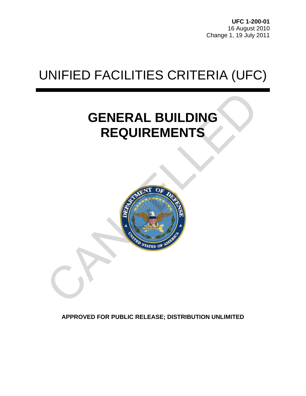**UFC 1-200-01** 16 August 2010 Change 1, 19 July 2011

# UNIFIED FACILITIES CRITERIA (UFC)

## **GENERAL BUILDING REQUIREMENTS**



**APPROVED FOR PUBLIC RELEASE; DISTRIBUTION UNLIMITED**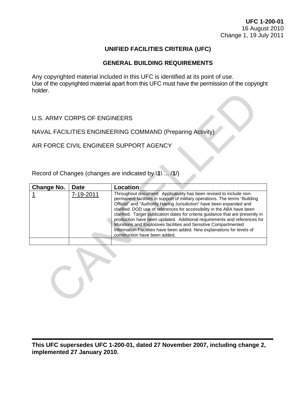**UFC 1-200-01** 16 August 2010 Change 1, 19 July 2011

### **UNIFIED FACILITIES CRITERIA (UFC)**

### **GENERAL BUILDING REQUIREMENTS**

Any copyrighted material included in this UFC is identified at its point of use. Use of the copyrighted material apart from this UFC must have the permission of the copyright holder.

| <b>IIUIUUI.</b>                                           |             |                                                                                                                                                                                                                                                                                                                                                                                                                                                                                                                                                                                                                                                    |  |  |  |
|-----------------------------------------------------------|-------------|----------------------------------------------------------------------------------------------------------------------------------------------------------------------------------------------------------------------------------------------------------------------------------------------------------------------------------------------------------------------------------------------------------------------------------------------------------------------------------------------------------------------------------------------------------------------------------------------------------------------------------------------------|--|--|--|
| U.S. ARMY CORPS OF ENGINEERS                              |             |                                                                                                                                                                                                                                                                                                                                                                                                                                                                                                                                                                                                                                                    |  |  |  |
| NAVAL FACILITIES ENGINEERING COMMAND (Preparing Activity) |             |                                                                                                                                                                                                                                                                                                                                                                                                                                                                                                                                                                                                                                                    |  |  |  |
| AIR FORCE CIVIL ENGINEER SUPPORT AGENCY                   |             |                                                                                                                                                                                                                                                                                                                                                                                                                                                                                                                                                                                                                                                    |  |  |  |
| Record of Changes (changes are indicated by \1\  /1/)     |             |                                                                                                                                                                                                                                                                                                                                                                                                                                                                                                                                                                                                                                                    |  |  |  |
| <b>Change No.</b>                                         | <b>Date</b> | Location                                                                                                                                                                                                                                                                                                                                                                                                                                                                                                                                                                                                                                           |  |  |  |
|                                                           | 7-19-2011   | Throughout document: Applicability has been revised to include non-<br>permanent facilities in support of military operations. The terms "Building<br>Official" and "Authority Having Jurisdiction" have been expanded and<br>clarified. DOD use of references for accessibility in the ABA have been<br>clarified. Target publication dates for criteria guidance that are presently in<br>production have been updated. Additional requirements and references for<br>Munitions and Explosives facilities and Sensitive Compartmented<br>Information Facilities have been added. New explanations for levels of<br>construction have been added. |  |  |  |
|                                                           |             |                                                                                                                                                                                                                                                                                                                                                                                                                                                                                                                                                                                                                                                    |  |  |  |
|                                                           |             |                                                                                                                                                                                                                                                                                                                                                                                                                                                                                                                                                                                                                                                    |  |  |  |

**This UFC supersedes UFC 1-200-01, dated 27 November 2007, including change 2, implemented 27 January 2010.**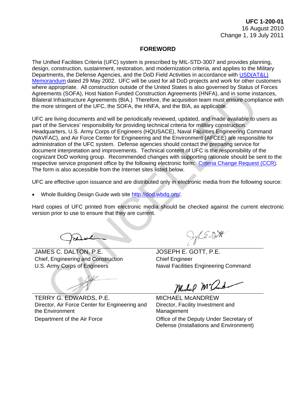### **FOREWORD**

The Unified Facilities Criteria (UFC) system is prescribed by MIL-STD-3007 and provides planning, design, construction, sustainment, restoration, and modernization criteria, and applies to the Military Departments, the Defense Agencies, and the DoD Field Activities in accordance with [USD\(AT&L\)](http://www.wbdg.org/pdfs/ufc_implementation.pdf)  [Memorandum](http://www.wbdg.org/pdfs/ufc_implementation.pdf) dated 29 May 2002. UFC will be used for all DoD projects and work for other customers where appropriate. All construction outside of the United States is also governed by Status of Forces Agreements (SOFA), Host Nation Funded Construction Agreements (HNFA), and in some instances, Bilateral Infrastructure Agreements (BIA.) Therefore, the acquisition team must ensure compliance with the more stringent of the UFC, the SOFA, the HNFA, and the BIA, as applicable.

UFC are living documents and will be periodically reviewed, updated, and made available to users as part of the Services' responsibility for providing technical criteria for military construction. Headquarters, U.S. Army Corps of Engineers (HQUSACE), Naval Facilities Engineering Command (NAVFAC), and Air Force Center for Engineering and the Environment (AFCEE) are responsible for administration of the UFC system. Defense agencies should contact the preparing service for document interpretation and improvements. Technical content of UFC is the responsibility of the cognizant DoD working group. Recommended changes with supporting rationale should be sent to the respective service proponent office by the following electronic form: [Criteria Change Request \(CCR\).](http://www.wbdg.org/ccb/browse_cat.php?o=29&c=4) The form is also accessible from the Internet sites listed below. ments (SOFA), Host Nation Funded Construction Agreements (HNFA), and in some instead to the UFCA), the NAT and in some instead of the UFC, the SOFA, the HNFA, and the BilA, as applicable.<br>
The acquisition team must ensure

UFC are effective upon issuance and are distributed only in electronic media from the following source:

• Whole Building Design Guide web site http://dod.wbdg.org/.

Hard copies of UFC printed from electronic media should be checked against the current electronic version prior to use to ensure that they are current.

JAMES C. DALTON, P.E. JOSEPH E. GOTT, P.E. Chief, Engineering and Construction Chief Engineer

U.S. Army Corps of Engineers Naval Facilities Engineering Command

Director, Facility Investment and Management

Department of the Air Force Office of the Deputy Under Secretary of Defense (Installations and Environment)

TERRY G. EDWARDS, P.E. MICHAEL MCANDREW Director, Air Force Center for Engineering and the Environment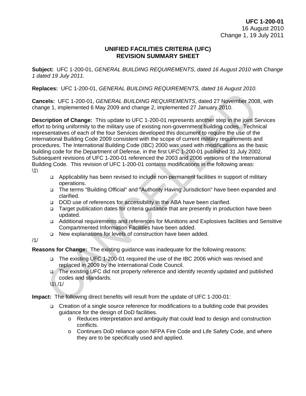### **UNIFIED FACILITIES CRITERIA (UFC) REVISION SUMMARY SHEET**

**Subject:** UFC 1-200-01, *GENERAL BUILDING REQUIREMENTS, dated 16 August 2010 with Change 1 dated 19 July 2011.*

**Replaces:** UFC 1-200-01, *GENERAL BUILDING REQUIREMENTS, dated 16 August 2010.*

**Cancels:** UFC 1-200-01, *GENERAL BUILDING REQUIREMENTS*, dated 27 November 2008, with change 1, implemented 6 May 2009 and change 2, implemented 27 January 2010.

**Description of Change:** This update to UFC 1-200-01 represents another step in the joint Services effort to bring uniformity to the military use of existing non-government building codes. Technical representatives of each of the four Services developed this document to require the use of the International Building Code 2009 consistent with the scope of current military requirements and procedures. The International Building Code (IBC) 2000 was used with modifications as the basic building code for the Department of Defense, in the first UFC 1-200-01 published 31 July 2002. Subsequent revisions of UFC 1-200-01 referenced the 2003 and 2006 versions of the International Building Code. This revision of UFC 1-200-01 contains modifications in the following areas:  $\backslash$ 1 $\backslash$ els: UFC 1-200-01, *GENERAL BUILDING REQUIREMENTS*, dated 27 November 2008<br>
ge 1, implemented 6 May 2009 and change 2, implemented 27 January 2010.<br> **ription of Change:** This update to UFC 1-200-01 represents another step

- Applicability has been revised to include non-permanent facilities in support of military operations.
- The terms "Building Official" and "Authority Having Jurisdiction" have been expanded and clarified.
- □ DOD use of references for accessibility in the ABA have been clarified.
- Target publication dates for criteria guidance that are presently in production have been updated.
- Additional requirements and references for Munitions and Explosives facilities and Sensitive Compartmented Information Facilities have been added.
- □ New explanations for levels of construction have been added.
- /1/

**Reasons for Change:** The existing guidance was inadequate for the following reasons:

- The existing UFC 1-200-01 required the use of the IBC 2006 which was revised and replaced in 2009 by the International Code Council.
- The existing UFC did not properly reference and identify recently updated and published codes and standards.
- $\frac{1}{1}$ /1/

**Impact:** The following direct benefits will result from the update of UFC 1-200-01:

- □ Creation of a single source reference for modifications to a building code that provides guidance for the design of DoD facilities.
	- o Reduces interpretation and ambiguity that could lead to design and construction conflicts.
	- o Continues DoD reliance upon NFPA Fire Code and Life Safety Code, and where they are to be specifically used and applied.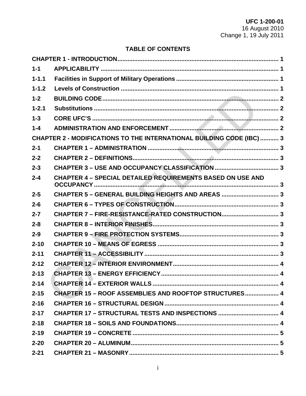### **TABLE OF CONTENTS**

| $1 - 1$   |                                                                       |  |
|-----------|-----------------------------------------------------------------------|--|
| $1 - 1.1$ |                                                                       |  |
| $1 - 1.2$ |                                                                       |  |
| $1 - 2$   |                                                                       |  |
| $1 - 2.1$ |                                                                       |  |
| $1 - 3$   |                                                                       |  |
| $1 - 4$   |                                                                       |  |
|           | CHAPTER 2 - MODIFICATIONS TO THE INTERNATIONAL BUILDING CODE (IBC)  3 |  |
| $2 - 1$   |                                                                       |  |
| $2 - 2$   |                                                                       |  |
| $2 - 3$   |                                                                       |  |
| $2 - 4$   | <b>CHAPTER 4 - SPECIAL DETAILED REQUIREMENTS BASED ON USE AND</b>     |  |
| $2 - 5$   | CHAPTER 5 - GENERAL BUILDING HEIGHTS AND AREAS  3                     |  |
| $2 - 6$   |                                                                       |  |
| $2 - 7$   | CHAPTER 7 - FIRE-RESISTANCE-RATED CONSTRUCTION 3                      |  |
| $2 - 8$   |                                                                       |  |
| $2 - 9$   |                                                                       |  |
| $2 - 10$  |                                                                       |  |
| $2 - 11$  |                                                                       |  |
| $2 - 12$  |                                                                       |  |
| $2 - 13$  |                                                                       |  |
| $2 - 14$  |                                                                       |  |
| $2 - 15$  | <b>CHAPTER 15 - ROOF ASSEMBLIES AND ROOFTOP STRUCTURES 4</b>          |  |
| $2 - 16$  |                                                                       |  |
| $2 - 17$  |                                                                       |  |
| $2 - 18$  |                                                                       |  |
| $2 - 19$  |                                                                       |  |
| $2 - 20$  |                                                                       |  |
| $2 - 21$  |                                                                       |  |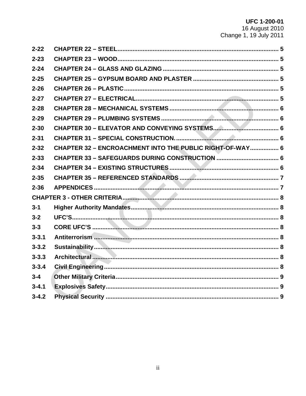UFC 1-200-01<br>16 August 2010<br>Change 1, 19 July 2011

| $2 - 22$  |                                                          |  |
|-----------|----------------------------------------------------------|--|
| $2 - 23$  |                                                          |  |
| $2 - 24$  |                                                          |  |
| $2 - 25$  |                                                          |  |
| $2 - 26$  |                                                          |  |
| $2 - 27$  |                                                          |  |
| $2 - 28$  |                                                          |  |
| $2 - 29$  |                                                          |  |
| $2 - 30$  |                                                          |  |
| $2 - 31$  |                                                          |  |
| $2 - 32$  | CHAPTER 32 - ENCROACHMENT INTO THE PUBLIC RIGHT-OF-WAY 6 |  |
| $2 - 33$  |                                                          |  |
| $2 - 34$  |                                                          |  |
| $2 - 35$  |                                                          |  |
| $2 - 36$  |                                                          |  |
|           |                                                          |  |
| $3 - 1$   |                                                          |  |
| $3 - 2$   |                                                          |  |
| $3 - 3$   |                                                          |  |
| $3 - 3.1$ |                                                          |  |
| $3 - 3.2$ |                                                          |  |
| $3 - 3.3$ |                                                          |  |
| $3 - 3.4$ |                                                          |  |
| $3 - 4$   |                                                          |  |
| $3 - 4.1$ |                                                          |  |
| $3 - 4.2$ |                                                          |  |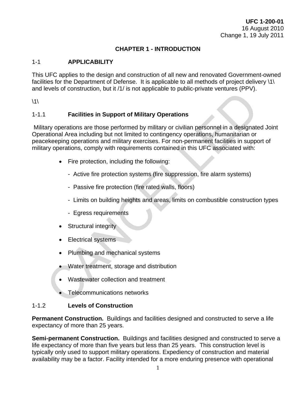### **CHAPTER 1 - INTRODUCTION**

### <span id="page-6-1"></span><span id="page-6-0"></span>1-1 **APPLICABILITY**

This UFC applies to the design and construction of all new and renovated Government-owned facilities for the Department of Defense. It is applicable to all methods of project delivery \1\ and levels of construction, but it /1/ is not applicable to public-private ventures (PPV).

 $\backslash$ 1 $\backslash$ 

### <span id="page-6-2"></span>1-1.1 **Facilities in Support of Military Operations**

Military operations are those performed by military or civilian personnel in a designated Joint Operational Area including but not limited to contingency operations, humanitarian or peacekeeping operations and military exercises. For non-permanent facilities in support of military operations, comply with requirements contained in this UFC associated with: Facilities in Support of Military Operations<br>
Sary operations are those performed by military or civilian personnel in a designate<br>
Sary operations are those performed by military or civilian personnel in a designate<br>
Sary

- Fire protection, including the following:
	- Active fire protection systems (fire suppression, fire alarm systems)
	- Passive fire protection (fire rated walls, floors)
	- Limits on building heights and areas, limits on combustible construction types
	- Egress requirements
- **Structural integrity**
- Electrical systems
- Plumbing and mechanical systems
- Water treatment, storage and distribution
- Wastewater collection and treatment
- Telecommunications networks

### <span id="page-6-3"></span>1-1.2 **Levels of Construction**

**Permanent Construction.** Buildings and facilities designed and constructed to serve a life expectancy of more than 25 years.

**Semi-permanent Construction.** Buildings and facilities designed and constructed to serve a life expectancy of more than five years but less than 25 years. This construction level is typically only used to support military operations. Expediency of construction and material availability may be a factor. Facility intended for a more enduring presence with operational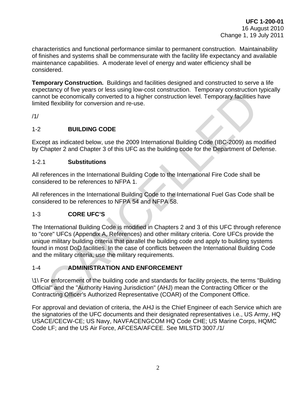characteristics and functional performance similar to permanent construction. Maintainability of finishes and systems shall be commensurate with the facility life expectancy and available maintenance capabilities. A moderate level of energy and water efficiency shall be considered.

**Temporary Construction.** Buildings and facilities designed and constructed to serve a life expectancy of five years or less using low-cost construction. Temporary construction typically cannot be economically converted to a higher construction level. Temporary facilities have limited flexibility for conversion and re-use.

/1/

### <span id="page-7-0"></span>1-2 **BUILDING CODE**

Except as indicated below, use the 2009 International Building Code (IBC-2009) as modified by Chapter 2 and Chapter 3 of this UFC as the building code for the Department of Defense.

### <span id="page-7-1"></span>1-2.1 **Substitutions**

All references in the International Building Code to the International Fire Code shall be considered to be references to NFPA 1.

All references in the International Building Code to the International Fuel Gas Code shall be considered to be references to NFPA 54 and NFPA 58.

### <span id="page-7-2"></span>1-3 **CORE UFC'S**

The International Building Code is modified in Chapters 2 and 3 of this UFC through reference to "core" UFCs (Appendix A, References) and other military criteria. Core UFCs provide the unique military building criteria that parallel the building code and apply to building systems found in most DoD facilities. In the case of conflicts between the International Building Code and the military criteria, use the military requirements. State of the Booking on the Booking of the Control (AH) in Composition (See Economically converted to a higher construction level. Temporary facilities to the economically converted to a higher construction level. Temporar

### <span id="page-7-3"></span>1-4 **ADMINISTRATION AND ENFORCEMENT**

\1\ For enforcement of the building code and standards for facility projects, the terms "Building Official" and the "Authority Having Jurisdiction" (AHJ) mean the Contracting Officer or the Contracting Officer's Authorized Representative (COAR) of the Component Office.

For approval and deviation of criteria, the AHJ is the Chief Engineer of each Service which are the signatories of the UFC documents and their designated representatives i.e., US Army, HQ USACE/CECW-CE; US Navy, NAVFACENGCOM HQ Code CHE; US Marine Corps, HQMC Code LF; and the US Air Force, AFCESA/AFCEE. See MILSTD 3007./1/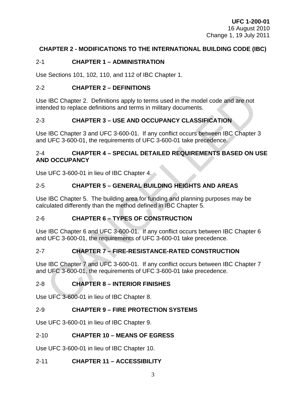### <span id="page-8-0"></span>**CHAPTER 2 - MODIFICATIONS TO THE INTERNATIONAL BUILDING CODE (IBC)**

### <span id="page-8-1"></span>2-1 **CHAPTER 1 – ADMINISTRATION**

Use Sections 101, 102, 110, and 112 of IBC Chapter 1.

### <span id="page-8-2"></span>2-2 **CHAPTER 2 – DEFINITIONS**

Use IBC Chapter 2. Definitions apply to terms used in the model code and are not intended to replace definitions and terms in military documents.

### <span id="page-8-3"></span>2-3 **CHAPTER 3 – USE AND OCCUPANCY CLASSIFICATION**

<span id="page-8-4"></span>Use IBC Chapter 3 and UFC 3-600-01. If any conflict occurs between IBC Chapter 3 and UFC 3-600-01, the requirements of UFC 3-600-01 take precedence.

# 2-4 **CHAPTER 4 – SPECIAL DETAILED REQUIREMENTS BASED ON USE AND OCCUPANCY** 9 IBC Chapter 2. Definitions apply to terms used in the model code and are not<br>
mded to replace definitions and terms in military documents.<br>
CHAPTER 3 – USE AND OCCUPANCY CLASSIFICATION<br>
9 IBC Chapter 3 and UFC 3-600-01.

Use UFC 3-600-01 in lieu of IBC Chapter 4.

### <span id="page-8-5"></span>2-5 **CHAPTER 5 – GENERAL BUILDING HEIGHTS AND AREAS**

Use IBC Chapter 5. The building area for funding and planning purposes may be calculated differently than the method defined in IBC Chapter 5.

### <span id="page-8-6"></span>2-6 **CHAPTER 6 – TYPES OF CONSTRUCTION**

Use IBC Chapter 6 and UFC 3-600-01. If any conflict occurs between IBC Chapter 6 and UFC 3-600-01, the requirements of UFC 3-600-01 take precedence.

### <span id="page-8-7"></span>2-7 **CHAPTER 7 – FIRE-RESISTANCE-RATED CONSTRUCTION**

Use IBC Chapter 7 and UFC 3-600-01. If any conflict occurs between IBC Chapter 7 and UFC 3-600-01, the requirements of UFC 3-600-01 take precedence.

### <span id="page-8-8"></span>2-8 **CHAPTER 8 – INTERIOR FINISHES**

Use UFC 3-600-01 in lieu of IBC Chapter 8.

### <span id="page-8-9"></span>2-9 **CHAPTER 9 – FIRE PROTECTION SYSTEMS**

Use UFC 3-600-01 in lieu of IBC Chapter 9.

### <span id="page-8-10"></span>2-10 **CHAPTER 10 – MEANS OF EGRESS**

Use UFC 3-600-01 in lieu of IBC Chapter 10.

### <span id="page-8-11"></span>2-11 **CHAPTER 11 – ACCESSIBILITY**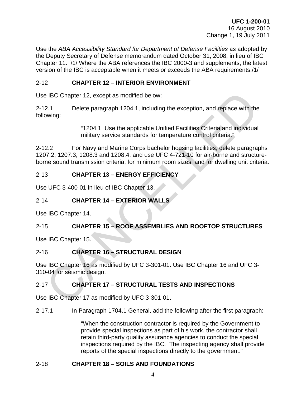Use the *ABA Accessibility Standard for Department of Defense Facilities* as adopted by the Deputy Secretary of Defense memorandum dated October 31, 2008, in lieu of IBC Chapter 11. \1\ Where the ABA references the IBC 2000-3 and supplements, the latest version of the IBC is acceptable when it meets or exceeds the ABA requirements./1/

### <span id="page-9-0"></span>2-12 **CHAPTER 12 – INTERIOR ENVIRONMENT**

Use IBC Chapter 12, except as modified below:

2-12.1 Delete paragraph 1204.1, including the exception, and replace with the following:

> "1204.1 Use the applicable Unified Facilities Criteria and individual military service standards for temperature control criteria."

2-12.2 For Navy and Marine Corps bachelor housing facilities, delete paragraphs 1207.2, 1207.3, 1208.3 and 1208.4, and use UFC 4-721-10 for air-borne and structureborne sound transmission criteria, for minimum room sizes, and for dwelling unit criteria. 9 IBC Chapter 12, except as modified below:<br>
2.1 Delete paragraph 1204.1, including the exception, and replace with the<br>
2.1 Delete paragraph 1204.1, including the exception, and replace with the<br>
2.2 For Navy and Marine

### <span id="page-9-1"></span>2-13 **CHAPTER 13 – ENERGY EFFICIENCY**

Use UFC 3-400-01 in lieu of IBC Chapter 13.

### <span id="page-9-2"></span>2-14 **CHAPTER 14 – EXTERIOR WALLS**

Use IBC Chapter 14.

### <span id="page-9-3"></span>2-15 **CHAPTER 15 – ROOF ASSEMBLIES AND ROOFTOP STRUCTURES**

Use IBC Chapter 15.

### <span id="page-9-4"></span>2-16 **CHAPTER 16 – STRUCTURAL DESIGN**

Use IBC Chapter 16 as modified by UFC 3-301-01. Use IBC Chapter 16 and UFC 3- 310-04 for seismic design.

### <span id="page-9-5"></span>2-17 **CHAPTER 17 – STRUCTURAL TESTS AND INSPECTIONS**

Use IBC Chapter 17 as modified by UFC 3-301-01.

2-17.1 In Paragraph 1704.1 General, add the following after the first paragraph:

"When the construction contractor is required by the Government to provide special inspections as part of his work, the contractor shall retain third-party quality assurance agencies to conduct the special inspections required by the IBC. The inspecting agency shall provide reports of the special inspections directly to the government."

### <span id="page-9-6"></span>2-18 **CHAPTER 18 – SOILS AND FOUNDATIONS**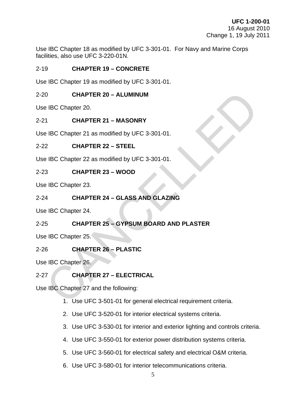Use IBC Chapter 18 as modified by UFC 3-301-01. For Navy and Marine Corps facilities, also use UFC 3-220-01N.

### <span id="page-10-0"></span>2-19 **CHAPTER 19 – CONCRETE**

Use IBC Chapter 19 as modified by UFC 3-301-01.

### 2-20 **CHAPTER 20 – ALUMINUM**

Use IBC Chapter 20.

### <span id="page-10-2"></span>2-21 **CHAPTER 21 – MASONRY**

Use IBC Chapter 21 as modified by UFC 3-301-01.

### <span id="page-10-3"></span>2-22 **CHAPTER 22 – STEEL**

Use IBC Chapter 22 as modified by UFC 3-301-01.

### <span id="page-10-4"></span>2-23 **CHAPTER 23 – WOOD**

Use IBC Chapter 23.

### <span id="page-10-5"></span>2-24 **CHAPTER 24 – GLASS AND GLAZING**

<span id="page-10-6"></span>Use IBC Chapter 24.

# <span id="page-10-1"></span>2-25 **CHAPTER 25 – GYPSUM BOARD AND PLASTER** 0 CHAPTER 20 - ALUMINUM<br>
1 CHAPTER 21 - MASONRY<br>
1 BC Chapter 21 as modified by UFC 3-301-01.<br>
2 CHAPTER 22 - STEEL<br>
1 BC Chapter 22 as modified by UFC 3-301-01.<br>
3 CHAPTER 23 - WOOD<br>
1 BC Chapter 23.<br>
4 CHAPTER 24 - GLASS

Use IBC Chapter 25.

### <span id="page-10-7"></span>2-26 **CHAPTER 26 – PLASTIC**

Use IBC Chapter 26.

### <span id="page-10-8"></span>2-27 **CHAPTER 27 – ELECTRICAL**

Use IBC Chapter 27 and the following:

- 1. Use UFC 3-501-01 for general electrical requirement criteria.
- 2. Use UFC 3-520-01 for interior electrical systems criteria.
- 3. Use UFC 3-530-01 for interior and exterior lighting and controls criteria.
- 4. Use UFC 3-550-01 for exterior power distribution systems criteria.
- 5. Use UFC 3-560-01 for electrical safety and electrical O&M criteria.
- 6. Use UFC 3-580-01 for interior telecommunications criteria.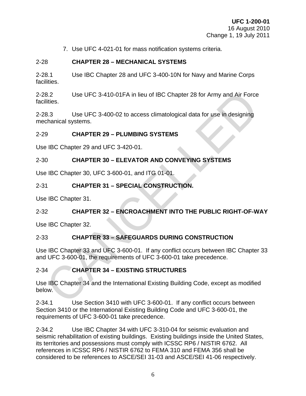7. Use UFC 4-021-01 for mass notification systems criteria.

### <span id="page-11-0"></span>2-28 **CHAPTER 28 – MECHANICAL SYSTEMS**

2-28.1 Use IBC Chapter 28 and UFC 3-400-10N for Navy and Marine Corps facilities.

2-28.2 Use UFC 3-410-01FA in lieu of IBC Chapter 28 for Army and Air Force facilities. Use UFC 3-410-01FA in lieu of IBC Chapter 28 for Army and Air Force<br>
R.3.<br>
8.3.<br>
8.3. Use UFC 3-400-02 to access climatological data for use in designing<br>
CHAPTER 29 – PLUMBING SYSTEMS<br>
9 CHAPTER 30 – ELEVATOR AND CONVEYIN

2-28.3 Use UFC 3-400-02 to access climatological data for use in designing mechanical systems.

### <span id="page-11-1"></span>2-29 **CHAPTER 29 – PLUMBING SYSTEMS**

Use IBC Chapter 29 and UFC 3-420-01.

### <span id="page-11-2"></span>2-30 **CHAPTER 30 – ELEVATOR AND CONVEYING SYSTEMS**

Use IBC Chapter 30, UFC 3-600-01, and ITG 01-01.

### <span id="page-11-3"></span>2-31 **CHAPTER 31 – SPECIAL CONSTRUCTION.**

Use IBC Chapter 31.

### <span id="page-11-4"></span>2-32 **CHAPTER 32 – ENCROACHMENT INTO THE PUBLIC RIGHT-OF-WAY**

Use IBC Chapter 32.

### <span id="page-11-5"></span>2-33 **CHAPTER 33 – SAFEGUARDS DURING CONSTRUCTION**

Use IBC Chapter 33 and UFC 3-600-01. If any conflict occurs between IBC Chapter 33 and UFC 3-600-01, the requirements of UFC 3-600-01 take precedence.

### <span id="page-11-6"></span>2-34 **CHAPTER 34 – EXISTING STRUCTURES**

Use IBC Chapter 34 and the International Existing Building Code, except as modified below.

2-34.1 Use Section 3410 with UFC 3-600-01. If any conflict occurs between Section 3410 or the International Existing Building Code and UFC 3-600-01, the requirements of UFC 3-600-01 take precedence.

2-34.2 Use IBC Chapter 34 with UFC 3-310-04 for seismic evaluation and seismic rehabilitation of existing buildings. Existing buildings inside the United States, its territories and possessions must comply with ICSSC RP6 / NISTIR 6762. All references in ICSSC RP6 / NISTIR 6762 to FEMA 310 and FEMA 356 shall be considered to be references to ASCE/SEI 31-03 and ASCE/SEI 41-06 respectively.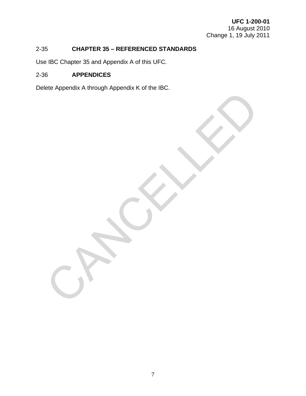### <span id="page-12-0"></span>2-35 **CHAPTER 35 – REFERENCED STANDARDS**

Use IBC Chapter 35 and Appendix A of this UFC.

### <span id="page-12-1"></span>2-36 **APPENDICES**

Delete Appendix A through Appendix K of the IBC. CANCALLED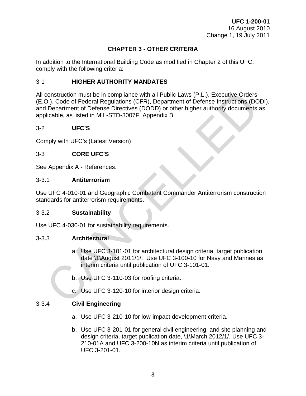### **CHAPTER 3 - OTHER CRITERIA**

<span id="page-13-0"></span>In addition to the International Building Code as modified in Chapter 2 of this UFC, comply with the following criteria:

### <span id="page-13-1"></span>3-1 **HIGHER AUTHORITY MANDATES**

All construction must be in compliance with all Public Laws (P.L.), Executive Orders (E.O.), Code of Federal Regulations (CFR), Department of Defense Instructions (DODI), and Department of Defense Directives (DODD) or other higher authority documents as applicable, as listed in MIL-STD-3007F, Appendix B construction must be in compliance with all Public Laws (P.L.), Executive Orders<br>
2.), Code of Federal Regulations (CFR), Department of Defense Instructions (DC<br>
Department of Defense Directives (DODD) or other higher auth

### <span id="page-13-2"></span>3-2 **UFC'S**

Comply with UFC's (Latest Version)

### <span id="page-13-3"></span>3-3 **CORE UFC'S**

See Appendix A - References.

### <span id="page-13-4"></span>3-3.1 **Antiterrorism**

Use UFC 4-010-01 and Geographic Combatant Commander Antiterrorism construction standards for antiterrorism requirements.

### <span id="page-13-5"></span>3-3.2 **Sustainability**

Use UFC 4-030-01 for sustainability requirements.

### <span id="page-13-6"></span>3-3.3 **Architectural**

- a. Use UFC 3-101-01 for architectural design criteria, target publication date \1\August 2011/1/. Use UFC 3-100-10 for Navy and Marines as interim criteria until publication of UFC 3-101-01.
- b. Use UFC 3-110-03 for roofing criteria.
- c. Use UFC 3-120-10 for interior design criteria.

### <span id="page-13-7"></span>3-3.4 **Civil Engineering**

- a. Use UFC 3-210-10 for low-impact development criteria.
- b. Use UFC 3-201-01 for general civil engineering, and site planning and design criteria, target publication date, \1\March 2012/1/. Use UFC 3- 210-01A and UFC 3-200-10N as interim criteria until publication of UFC 3-201-01.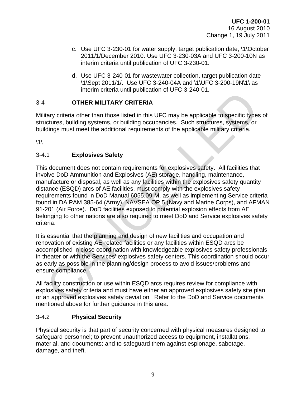- c. Use UFC 3-230-01 for water supply, target publication date, \1\October 2011/1/December 2010. Use UFC 3-230-03A and UFC 3-200-10N as interim criteria until publication of UFC 3-230-01.
- d. Use UFC 3-240-01 for wastewater collection, target publication date \1\Sept 2011/1/. Use UFC 3-240-04A and \1\UFC 3-200-19N\1\ as interim criteria until publication of UFC 3-240-01.

### <span id="page-14-0"></span>3-4 **OTHER MILITARY CRITERIA**

Military criteria other than those listed in this UFC may be applicable to specific types of structures, building systems, or building occupancies. Such structures, systems, or buildings must meet the additional requirements of the applicable military criteria.

 $\backslash$ 1 $\backslash$ 

### <span id="page-14-1"></span>3-4.1 **Explosives Safety**

This document does not contain requirements for explosives safety. All facilities that involve DoD Ammunition and Explosives (AE) storage, handling, maintenance, manufacture or disposal, as well as any facilities within the explosives safety quantity distance (ESQD) arcs of AE facilities, must comply with the explosives safety requirements found in DoD Manual 6055.09-M, as well as implementing Service criteria found in DA PAM 385-64 (Army), NAVSEA OP 5 (Navy and Marine Corps), and AFMAN 91-201 (Air Force). DoD facilities exposed to potential explosion effects from AE belonging to other nations are also required to meet DoD and Service explosives safety criteria. **CHERIM CONTRAINS CONTRIGUATION**<br> **CHERIM CONTRIGUATION**<br> **CHERIM CONTRIGUATION**<br> **CHERIM CONTRIGUATION**<br> **CHERIM CONTRIGUATION**<br> **CHERIM CONTRIGUATION**<br> **CHERIM CONTRIGUATION**<br> **CHERIM CONTRIGUATION**<br> **CHERIM CONTRIGUATIO** 

It is essential that the planning and design of new facilities and occupation and renovation of existing AE-related facilities or any facilities within ESQD arcs be accomplished in close coordination with knowledgeable explosives safety professionals in theater or with the Services' explosives safety centers. This coordination should occur as early as possible in the planning/design process to avoid issues/problems and ensure compliance.

All facility construction or use within ESQD arcs requires review for compliance with explosives safety criteria and must have either an approved explosives safety site plan or an approved explosives safety deviation. Refer to the DoD and Service documents mentioned above for further guidance in this area.

### <span id="page-14-2"></span>3-4.2 **Physical Security**

Physical security is that part of security concerned with physical measures designed to safeguard personnel; to prevent unauthorized access to equipment, installations, material, and documents; and to safeguard them against espionage, sabotage, damage, and theft.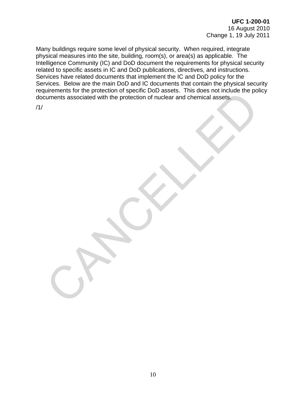Many buildings require some level of physical security. When required, integrate physical measures into the site, building, room(s), or area(s) as applicable. The Intelligence Community (IC) and DoD document the requirements for physical security related to specific assets in IC and DoD publications, directives, and instructions. Services have related documents that implement the IC and DoD policy for the Services. Below are the main DoD and IC documents that contain the physical security requirements for the protection of specific DoD assets. This does not include the policy documents associated with the protection of nuclear and chemical assets. EXPRESSION DIE PLOUCHATION DE SPECIAL DU COLORESSES. TINGIS QUE DE PLOUCHATION DE SESSES. TINGIS QUE DE PLOUCHATION DE SESSES. TINGIS QUE DE PLOUCHATION DE SESSES. TINGIS QUE DE PLOUCHATION DE SESSES. TINGIS QUE DE PLOUCHA

/1/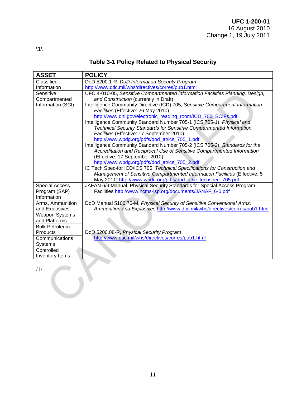<span id="page-16-0"></span>

| <b>ASSET</b>          | <b>POLICY</b>                                                                                                                |
|-----------------------|------------------------------------------------------------------------------------------------------------------------------|
| Classified            | DoD 5200.1-R, DoD Information Security Program                                                                               |
| Information           | http://www.dtic.mil/whs/directives/corres/pub1.html                                                                          |
| Sensitive             | UFC 4-010-05, Sensitive Compartmented information Facilities Planning, Design,                                               |
| Compartmented         | and Construction (currently in Draft)                                                                                        |
| Information (SCI)     | Intelligence Community Directive (ICD) 705, Sensitive Compartment Information                                                |
|                       | Facilities (Effective: 26 May 2010).                                                                                         |
|                       | http://www.dni.gov/electronic_reading_room/ICD_705_SCIFs.pdf                                                                 |
|                       | Intelligence Community Standard Number 705-1 (ICS 705-1), Physical and                                                       |
|                       | Technical Security Standards for Sensitive Compartmented Information                                                         |
|                       | Facilities (Effective: 17 September 2010)                                                                                    |
|                       | http://www.wbdg.org/pdfs/dod_at/ics_705_1.pdf                                                                                |
|                       | Intelligence Community Standard Number 705-2 (ICS 705-2), Standards for the                                                  |
|                       | Accreditation and Reciprocal Use of Sensitive Compartmented Information                                                      |
|                       | (Effective: 17 September 2010)                                                                                               |
|                       | http://www.wbdg.org/pdfs/dod_at/ics_705_2.pdf<br>IC Tech Spec-for ICD/ICS 705, Technical Specifications for Construction and |
|                       | Management of Sensitive Compartmented Information Facilities (Effective: 5                                                   |
|                       | May 2011) http://www.wbdg.org/pdfs/dod_at/ic_techspec_705.pdf                                                                |
| <b>Special Access</b> | JAFAN 6/9 Manual, Physical Security Standards for Special Access Program                                                     |
| Program (SAP)         | Facilities http://www.ncms-isp.org/documents/JANAF_6-0.pdf                                                                   |
| Information           |                                                                                                                              |
| Arms, Ammunition      | DoD Manual 5100.76-M, Physical Security of Sensitive Conventional Arms,                                                      |
| and Explosives        | Ammunition and Explosives http://www.dtic.mil/whs/directives/corres/pub1.html                                                |
| <b>Weapon Systems</b> |                                                                                                                              |
| and Platforms         |                                                                                                                              |
| <b>Bulk Petroleum</b> |                                                                                                                              |
| Products              | DoD 5200.08-R, Physical Security Program                                                                                     |
| Communications        | http://www.dtic.mil/whs/directives/corres/pub1.html                                                                          |
| Systems               |                                                                                                                              |
| Controlled            |                                                                                                                              |
| Inventory Items       |                                                                                                                              |
|                       |                                                                                                                              |
| /1/                   |                                                                                                                              |
|                       |                                                                                                                              |
|                       |                                                                                                                              |
|                       |                                                                                                                              |
|                       |                                                                                                                              |
|                       |                                                                                                                              |
|                       |                                                                                                                              |

### **Table 3-1 Policy Related to Physical Security**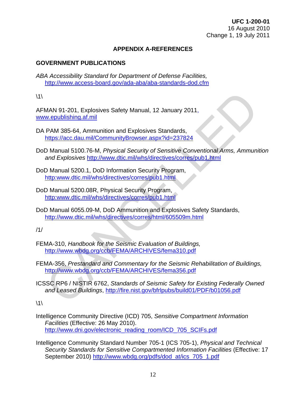### **[APPENDIX A-REFERENCES](#page-16-0)**

### **GOVERNMENT PUBLICATIONS**

*ABA Accessibility Standard for Department of Defense Facilities,* <http://www.access-board.gov/ada-aba/aba-standards-dod.cfm>

 $\backslash$ 1 $\backslash$ 

AFMAN 91-201, Explosives Safety Manual, 12 January 2011, www.epublishing.af.mil

- DA PAM 385-64, Ammunition and Explosives Standards, https://acc.dau.mil/CommunityBrowser.aspx?id=237824
- DoD Manual 5100.76-M, *Physical Security of Sensitive Conventional Arms, Ammunition and Explosives* http://www.dtic.mil/whs/directives/corres/pub1.html
- DoD Manual 5200.1, DoD Information Security Program, http:www.dtic.mil/whs/directives/corres/pub1.html
- DoD Manual 5200.08R, Physical Security Program, http:www.dtic.mil/whs/directives/corres/pub1.html
- DoD Manual 6055.09-M, DoD Ammunition and Explosives Safety Standards, http://www.dtic.mil/whs/directives/corres/html/605509m.html

/1/

- FEMA-310, *Handbook for the Seismic Evaluation of Buildings,*  http://www.wbdg.org/ccb/FEMA/ARCHIVES/fema310.pdf
- FEMA-356, *Prestandard and Commentary for the Seismic Rehabilitation of Buildings,*  http://www.wbdg.org/ccb/FEMA/ARCHIVES/fema356.pdf MAN 91-201, Explosives Safety Manual, 12 January 2011,<br>
w.epublishing.af.mil<br>
PAM 385-64, Ammunition and Explosives Standards,<br>
https://acc.dau.mil/CommunityBrowser.aspx?id=237824<br>
D Manual 5100.76-M. *Physical Security of*
- ICSSC RP6 / NISTIR 6762, *Standards of Seismic Safety for Existing Federally Owned and Leased Buildings*, http://fire.nist.gov/bfrlpubs/build01/PDF/b01056.pdf

 $\backslash$ 1 $\backslash$ 

- Intelligence Community Directive (ICD) 705, *Sensitive Compartment Information Facilities* (Effective: 26 May 2010). http://www.dni.gov/electronic\_reading\_room/ICD\_705\_SCIFs.pdf
- Intelligence Community Standard Number 705-1 (ICS 705-1), *Physical and Technical Security Standards for Sensitive Compartmented Information Facilities* (Effective: 17 September 2010) [http://www.wbdg.org/pdfs/dod\\_at/ics\\_705\\_1.pdf](http://www.wbdg.org/pdfs/dod_at/ics_705_1.pdf)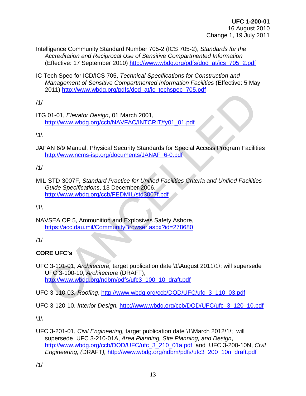Intelligence Community Standard Number 705-2 (ICS 705-2), *Standards for the Accreditation and Reciprocal Use of Sensitive Compartmented Information*  (Effective: 17 September 2010) [http://www.wbdg.org/pdfs/dod\\_at/ics\\_705\\_2.pdf](http://www.wbdg.org/pdfs/dod_at/ics_705_2.pdf) 

IC Tech Spec-for ICD/ICS 705, *Technical Specifications for Construction and Management of Sensitive Compartmented Information Facilities* (Effective: 5 May 2011) http://www.wbdg.org/pdfs/dod\_at/ic\_techspec\_705.pdf

/1/

ITG 01-01, *Elevator Design*, 01 March 2001, http://www.wbdg.org/ccb/NAVFAC/INTCRIT/fy01\_01.pdf

 $\backslash$ 1 $\backslash$ 

JAFAN 6/9 Manual, Physical Security Standards for Special Access Program Facilities http://www.ncms-isp.org/documents/JANAF\_6-0.pdf

/1/

MIL-STD-3007F, *Standard Practice for Unified Facilities Criteria and Unified Facilities Guide Specifications*, 13 December 2006, http://www.wbdg.org/ccb/FEDMIL/std3007f.pdf

 $\backslash$ 1 $\backslash$ 

NAVSEA OP 5, Ammunition and Explosives Safety Ashore, https://acc.dau.mil/CommunityBrowser.aspx?id=278680

/1/

### **CORE UFC's**

UFC 3-101-01, *Architecture,* target publication date \1\August 2011\1\; will supersede UFC 3-100-10, *Architecture* (DRAFT), http://www.wbdg.org/ndbm/pdfs/ufc3\_100\_10\_draft.pdf 1999) Hughers and March 2001,<br>
The View World Consign, 01 March 2001,<br>
Interlative World Considered Interaction of the United Receives Program Facilities<br> [CA](http://www.wbdg.org/ndbm/pdfs/ufc3_100_10_draft.pdf)N 6/9 Manual, Physical Security Standards for Special Access Prog

UFC 3-110-03, *Roofing*, http://www.wbdg.org/ccb/DOD/UFC/ufc\_3\_110\_03.pdf

UFC 3-120-10, *Interior Design,* [http://www.wbdg.org/ccb/DOD/UFC/ufc\\_3\\_120\\_10.pdf](http://www.wbdg.org/ccb/DOD/UFC/ufc_3_120_10.pdf)

 $\backslash$ 1 $\backslash$ 

UFC 3-201-01, *Civil Engineering,* target publication date \1\March 2012/1/; will supersede UFC 3-210-01A, *Area Planning, Site Planning, and Design*, [http://www.wbdg.org/ccb/DOD/UFC/ufc\\_3\\_210\\_01a.pdf](http://www.wbdg.org/ccb/DOD/UFC/ufc_3_210_01a.pdf) and UFC 3-200-10N, *Civil Engineering, (*DRAFT*),* [http://www.wbdg.org/ndbm/pdfs/ufc3\\_200\\_10n\\_draft.pdf](http://www.wbdg.org/ndbm/pdfs/ufc3_200_10n_draft.pdf)

/1/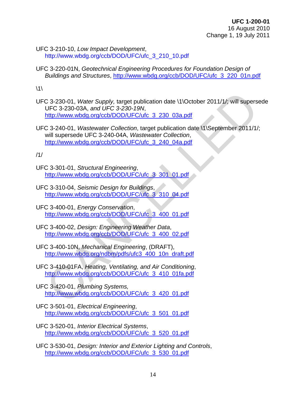UFC 3-210-10, *Low Impact Development*, http://www.wbdg.org/ccb/DOD/UFC/ufc\_3\_210\_10.pdf

UFC 3-220-01N, *Geotechnical Engineering Procedures for Foundation Design of Buildings and Structures*, [http://www.wbdg.org/ccb/DOD/UFC/ufc\\_3\\_220\\_01n.pdf](http://www.wbdg.org/ccb/DOD/UFC/ufc_3_220_01n.pdf)

 $\backslash$ 1 $\backslash$ 

UFC 3-230-01, *Water Supply,* target publication date \1\October 2011/1/; will supersede UFC 3-230-03A, *and UFC 3-230-19N*, http://www.wbdg.org/ccb/DOD/UFC/ufc\_3\_230\_03a.pdf

UFC 3-240-01, *Wastewater Collection*, target publication date \1\September 2011/1/; will supersede UFC 3-240-04A, *Wastewater Collection*, http://www.wbdg.org/ccb/DOD/UFC/ufc\_3\_240\_04a.pdf [C](http://www.wbdg.org/ccb/DOD/UFC/ufc_3_400_01.pdf) 3-230-01, Water Supply, target publication date \1\October 2011/1/; will supers<br>
UFC 3-230-03[A](http://www.wbdg.org/ccb/DOD/UFC/ufc_3_410_01fa.pdf), and UFC 3-230-19[N](http://www.wbdg.org/ccb/DOD/UFC/ufc_3_400_02.pdf),<br>
http://www.wbdg.org/ccb/DOD/UFC/utc 3 230 03a.pdf<br>
http://www.wbdg.org/ccb/DOD/UFC/utc 3 230 03a.pdf<br>
wi

/1/

- UFC 3-301-01, *Structural Engineering*, http://www.wbdg.org/ccb/DOD/UFC/ufc\_3\_301\_01.pdf
- UFC 3-310-04, *Seismic Design for Buildings*, http://www.wbdg.org/ccb/DOD/UFC/ufc\_3\_310\_04.pdf
- UFC 3-400-01, *Energy Conservation*, http://www.wbdg.org/ccb/DOD/UFC/ufc\_3\_400\_01.pdf
- UFC 3-400-02, *Design: Engineering Weather Data*, http://www.wbdg.org/ccb/DOD/UFC/ufc\_3\_400\_02.pdf
- UFC 3-400-10N, *Mechanical Engineering*, (DRAFT), http://www.wbdg.org/ndbm/pdfs/ufc3\_400\_10n\_draft.pdf
- UFC 3-410-01FA, *Heating, Ventilating, and Air Conditioning*, http://www.wbdg.org/ccb/DOD/UFC/ufc\_3\_410\_01fa.pdf
- UFC 3-420-01, *Plumbing Systems,* http://www.wbdg.org/ccb/DOD/UFC/ufc\_3\_420\_01.pdf
- UFC 3-501-01, *Electrical Engineering*, [http://www.wbdg.org/ccb/DOD/UFC/ufc\\_3\\_501\\_01.pdf](http://www.wbdg.org/ccb/DOD/UFC/ufc_3_520_01.pdf)
- UFC 3-520-01, *Interior Electrical Systems*, [http://www.wbdg.org/ccb/DOD/UFC/ufc\\_3\\_520\\_01.pdf](http://www.wbdg.org/ccb/DOD/UFC/ufc_3_520_01.pdf)
- UFC 3-530-01, *Design: Interior and Exterior Lighting and Controls*, [http://www.wbdg.org/ccb/DOD/UFC/ufc\\_3\\_530\\_01.pdf](http://www.wbdg.org/ccb/DOD/UFC/ufc_3_530_01.pdf)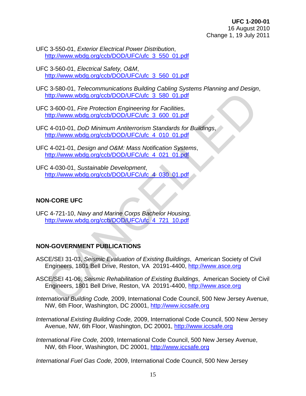- UFC 3-550-01, *Exterior Electrical Power Distribution*, [http://www.wbdg.org/ccb/DOD/UFC/ufc\\_3\\_550\\_01.pdf](http://www.wbdg.org/ccb/DOD/UFC/ufc_3_550_01.pdf)
- UFC 3-560-01, *Electrical Safety, O&M*, [http://www.wbdg.org/ccb/DOD/UFC/ufc\\_3\\_560\\_01.pdf](http://www.wbdg.org/ccb/DOD/UFC/ufc_3_560_01.pdf)

UFC 3-580-01, *Telecommunications Building Cabling Systems Planning and Design*, http://www.wbdg.org/ccb/DOD/UFC/ufc\_3\_580\_01.pdf

UFC 3-600-01, *Fire Protection Engineering for Facilities,*  http://www.wbdg.org/ccb/DOD/UFC/ufc\_3\_600\_01.pdf

UFC 4-010-01, *DoD Minimum Antiterrorism Standards for Buildings*, http://www.wbdg.org/ccb/DOD/UFC/ufc\_4\_010\_01.pdf

- UFC 4-021-01, *Design and O&M: Mass Notification Systems*, http://www.wbdg.org/ccb/DOD/UFC/ufc\_4\_021\_01.pdf
- UFC 4-030-01, *Sustainable Development*, http://www.wbdg.org/ccb/DOD/UFC/ufc\_4\_030\_01.pdf

### **NON-CORE UFC**

UFC 4-721-10, *Navy and Marine Corps Bachelor Housing,* http://www.wbdg.org/ccb/DOD/UFC/ufc\_4\_721\_10.pdf

### **NON-GOVERNMENT PUBLICATIONS**

- ASCE/SEI 31-03, *Seismic Evaluation of Existing Buildings*, American Society of Civil Engineers, 1801 Bell Drive, Reston, VA 20191-4400, http://www.asce.org
- ASCE/SEI 41-06, *Seismic Rehabilitation of Existing Buildings*, American Society of Civil Engineers, 1801 Bell Drive, Reston, VA 20191-4400, http://www.asce.org http://www.wbdq.org/ccb/DOD/UFC/utc 3 580 01.pdf<br>
C 3-600-01, *Fire Protection Engineering for Facilities,*<br>
http://www.wbdq.org/ccb/DOD/UFC/utc 3 600 01.pdf<br>
C 4-010-01, *DoD Minimum Antiterrorism Standards for Buildings,*
- *International Building Code,* 2009, International Code Council, 500 New Jersey Avenue, NW, 6th Floor, Washington, DC 20001, [http://www.iccsafe.org](http://www.iccsafe.org/)
- *International Existing Building Code,* 2009, International Code Council, 500 New Jersey Avenue, NW, 6th Floor, Washington, DC 20001, [http://www.iccsafe.org](http://www.iccsafe.org/)
- *International Fire Code,* 2009, International Code Council, 500 New Jersey Avenue, NW, 6th Floor, Washington, DC 20001, [http://www.iccsafe.org](http://www.iccsafe.org/)

*International Fuel Gas Code,* 2009, International Code Council, 500 New Jersey